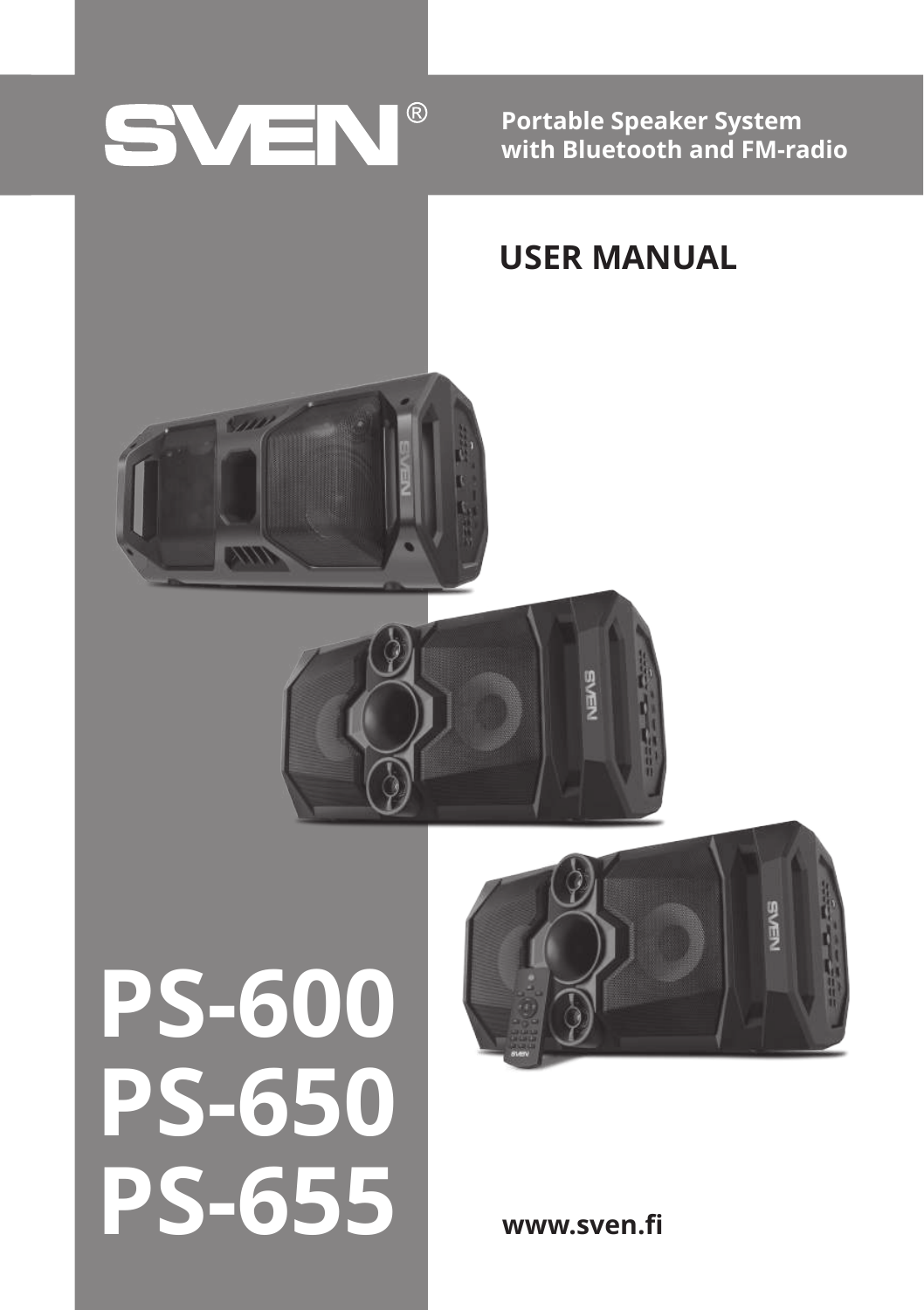## SVEN®

**Portable Speaker System with Bluetooth and FM-radio**

## **USER MANUAL**



# **PS-600 PS-650 PS-655**



**www.sven.fi**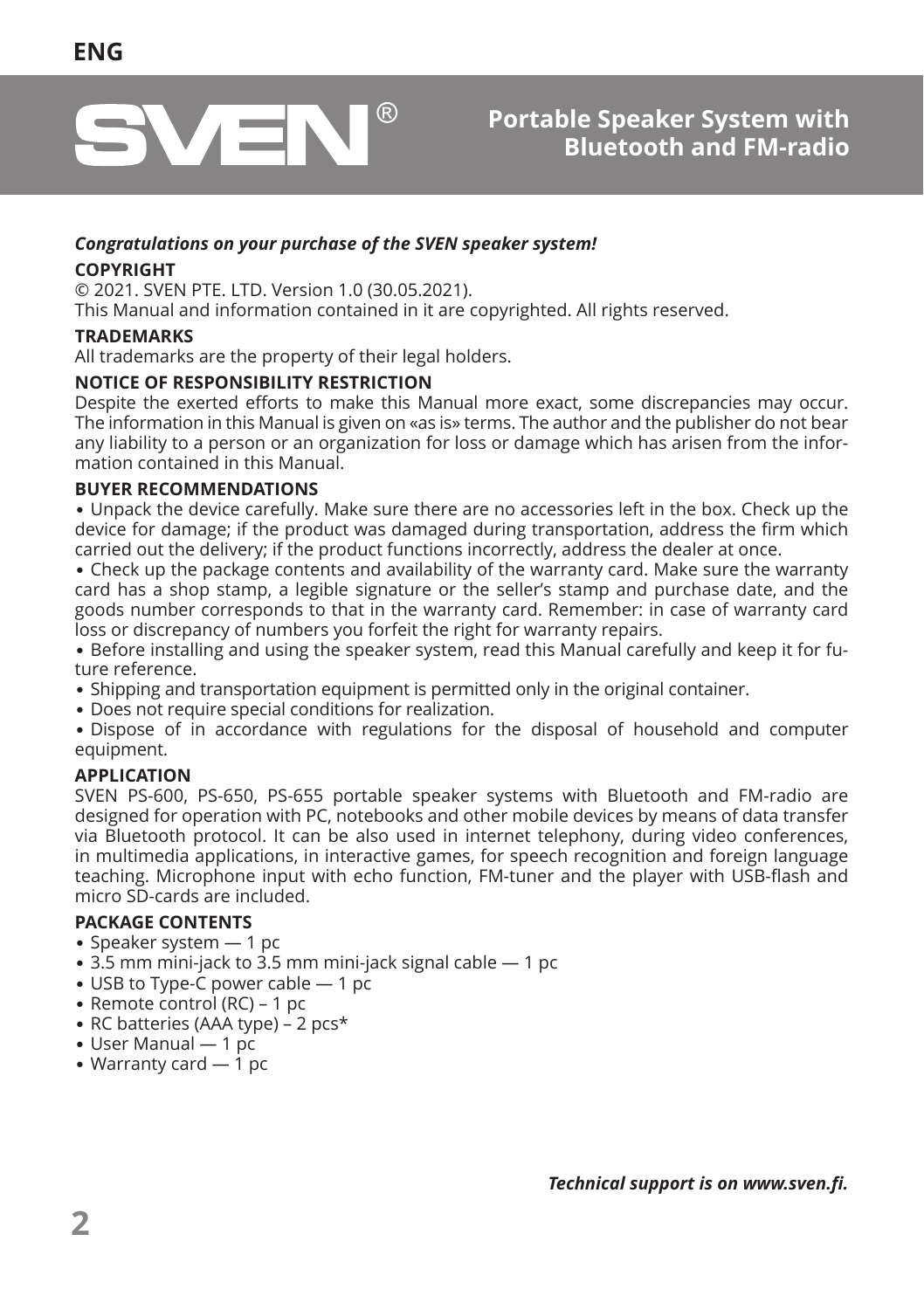

#### *Congratulations on your purchase of the SVEN speaker system!*

#### **COPYRIGHT**

© 2021. SVEN PTE. LTD. Version 1.0 (30.05.2021).

This Manual and information contained in it are copyrighted. All rights reserved.

#### **TRADEMARKS**

All trademarks are the property of their legal holders.

#### **NOTICE OF RESPONSIBILITY RESTRICTION**

Despite the exerted efforts to make this Manual more exact, some discrepancies may occur. The information in this Manual is given on «as is» terms. The author and the publisher do not bear any liability to a person or an organization for loss or damage which has arisen from the information contained in this Manual.

#### **BUYER RECOMMENDATIONS**

**•** Unpack the device carefully. Make sure there are no accessories left in the box. Check up the device for damage; if the product was damaged during transportation, address the firm which carried out the delivery; if the product functions incorrectly, address the dealer at once.

**•** Check up the package contents and availability of the warranty card. Make sure the warranty card has a shop stamp, a legible signature or the seller's stamp and purchase date, and the goods number corresponds to that in the warranty card. Remember: in case of warranty card loss or discrepancy of numbers you forfeit the right for warranty repairs.

**•** Before installing and using the speaker system, read this Manual carefully and keep it for future reference.

- **•** Shipping and transportation equipment is permitted only in the original container.
- **•** Does not require special conditions for realization.

**•** Dispose of in accordance with regulations for the disposal of household and computer equipment.

#### **APPLICATION**

SVEN PS-600, PS-650, PS-655 portable speaker systems with Bluetooth and FM-radio are designed for operation with PC, notebooks and other mobile devices by means of data transfer via Bluetooth protocol. It can be also used in internet telephony, during video conferences, in multimedia applications, in interactive games, for speech recognition and foreign language teaching. Microphone input with echo function, FM-tuner and the player with USB-flash and micro SD-cards are included.

#### **PACKAGE CONTENTS**

- Speaker system  $-1$  pc
- **•** 3.5 mm mini-jack to 3.5 mm mini-jack signal cable 1 pc
- USB to Type-C power cable 1 pc
- **•** Remote control (RC) 1 pc
- RC batteries (AAA type) 2 pcs\*
- **•** User Manual 1 pc
- **•** Warranty card 1 pc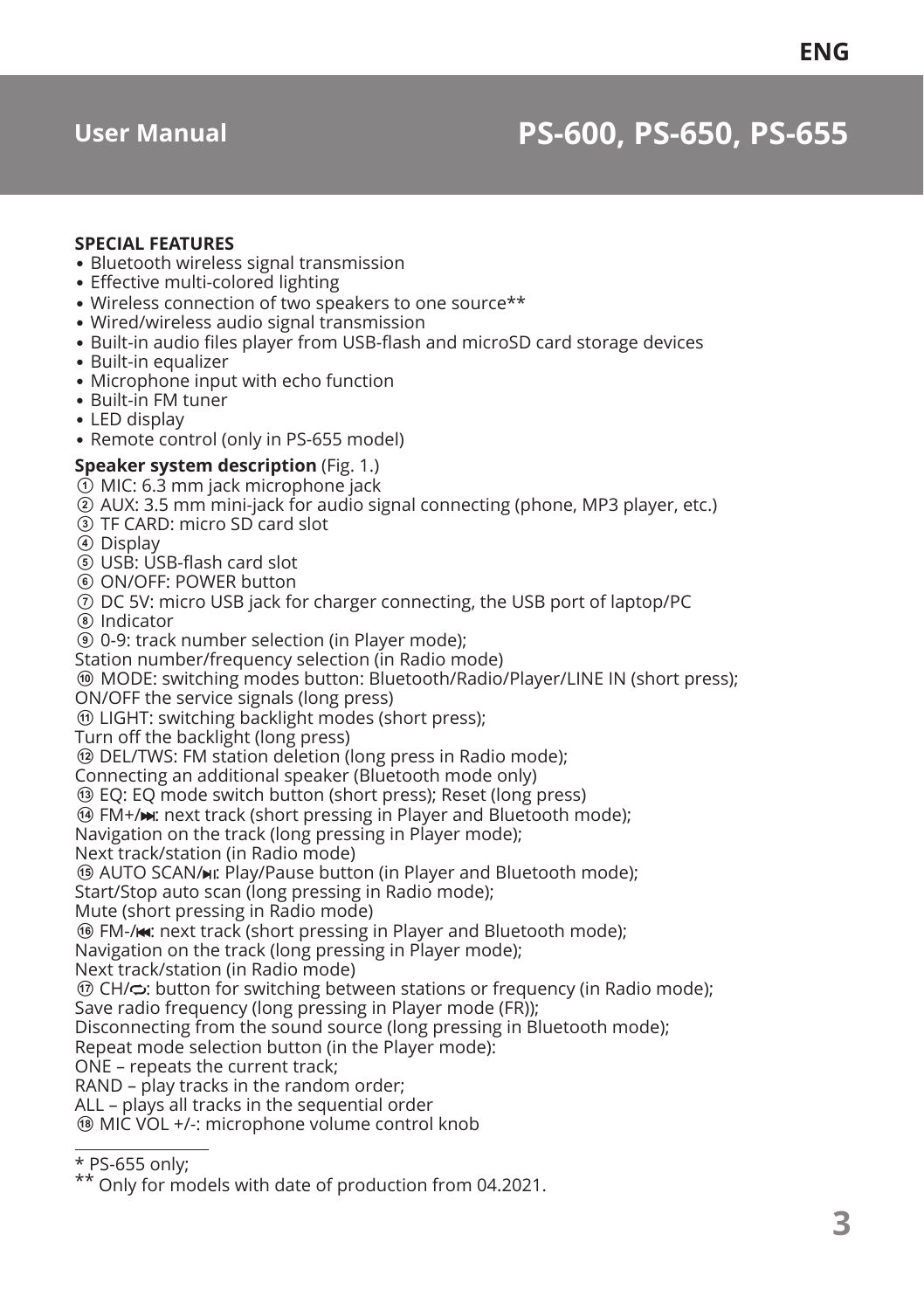## **User Manual PS-600, PS-650, PS-655**

#### **SPECIAL FEATURES**

- **•** Bluetooth wireless signal transmission
- Effective multi-colored lighting
- Wireless connection of two speakers to one source\*\*
- **•** Wired/wireless audio signal transmission
- **•** Built-in audio files player from USB-flash and microSD card storage devices
- **•** Built-in equalizer
- **•** Microphone input with echo function
- **•** Built-in FM tuner
- **•** LED display
- **•** Remote control (only in PS-655 model)

#### **Speaker system description** (Fig. 1.)

- $\Phi$  MIC: 6.3 mm jack microphone jack
- b AUX: 3.5 mm mini-jack for audio signal connecting (phone, MP3 player, etc.)
- **3** TF CARD: micro SD card slot
- d Display
- e USB: USB-flash card slot
- $6$  ON/OFF: POWER button
- g DC 5V: micro USB jack for charger connecting, the USB port of laptop/PC
- h Indicator
- i 0-9: track number selection (in Player mode);
- Station number/frequency selection (in Radio mode)

 $@$  MODE: switching modes button: Bluetooth/Radio/Player/LINE IN (short press);

ON/OFF the service signals (long press)

*M* LIGHT: switching backlight modes (short press);

Turn off the backlight (long press)

l DEL/TWS: FM station deletion (long press in Radio mode);

Connecting an additional speaker (Bluetooth mode only)

**<sup>3</sup>** EQ: EQ mode switch button (short press); Reset (long press)

 $\Theta$  FM+/ $\leftrightarrow$ : next track (short pressing in Player and Bluetooth mode);

Navigation on the track (long pressing in Player mode);

Next track/station (in Radio mode)

**63 AUTO SCAN/MI: Play/Pause button (in Player and Bluetooth mode):** 

Start/Stop auto scan (long pressing in Radio mode);

Mute (short pressing in Radio mode)

**<sup>16</sup>** FM-/ $\star$ : next track (short pressing in Player and Bluetooth mode);

Navigation on the track (long pressing in Player mode);

Next track/station (in Radio mode)

 $\textcircled{r}$  CH/ $\textcircled{r}$ : button for switching between stations or frequency (in Radio mode);

Save radio frequency (long pressing in Player mode (FR));

Disconnecting from the sound source (long pressing in Bluetooth mode);

Repeat mode selection button (in the Player mode):

ONE – repeats the current track;

RAND – play tracks in the random order;

ALL – plays all tracks in the sequential order

**® MIC VOL +/-: microphone volume control knob** 

\*\* Only for models with date of production from 04.2021.

<sup>\*</sup> PS-655 only;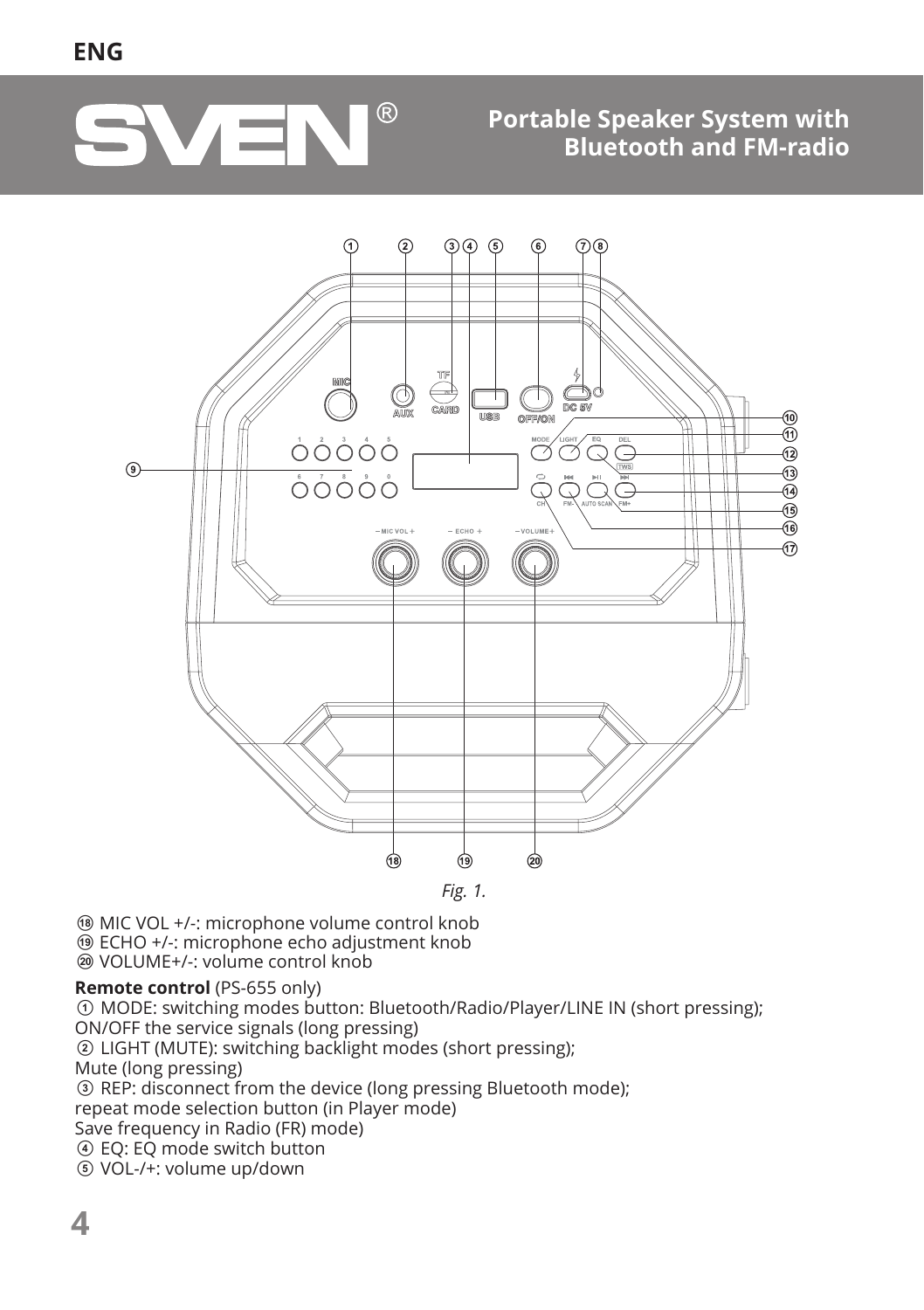

### **Portable Speaker System with Bluetooth and FM-radio**



**@ MIC VOL +/-: microphone volume control knob** 

 $\overline{\textcircled{\small{6}}}$  **ECHO +/-: microphone echo adjustment knob** 

<sup>®</sup> VOLUME+/-: volume control knob

#### **Remote control** (PS-655 only)

a MODE: switching modes button: Bluetooth/Radio/Player/LINE IN (short pressing); ON/OFF the service signals (long pressing)

**EXECT THE LIGHT (MUTE):** switching backlight modes (short pressing);

Mute (long pressing)

**CONS**  $\overline{c}$  REP: disconnect from the device (long pressing Bluetooth mode);

repeat mode selection button (in Player mode)

Save frequency in Radio (FR) mode)

d EQ: EQ mode switch button

e VOL-/+: volume up/down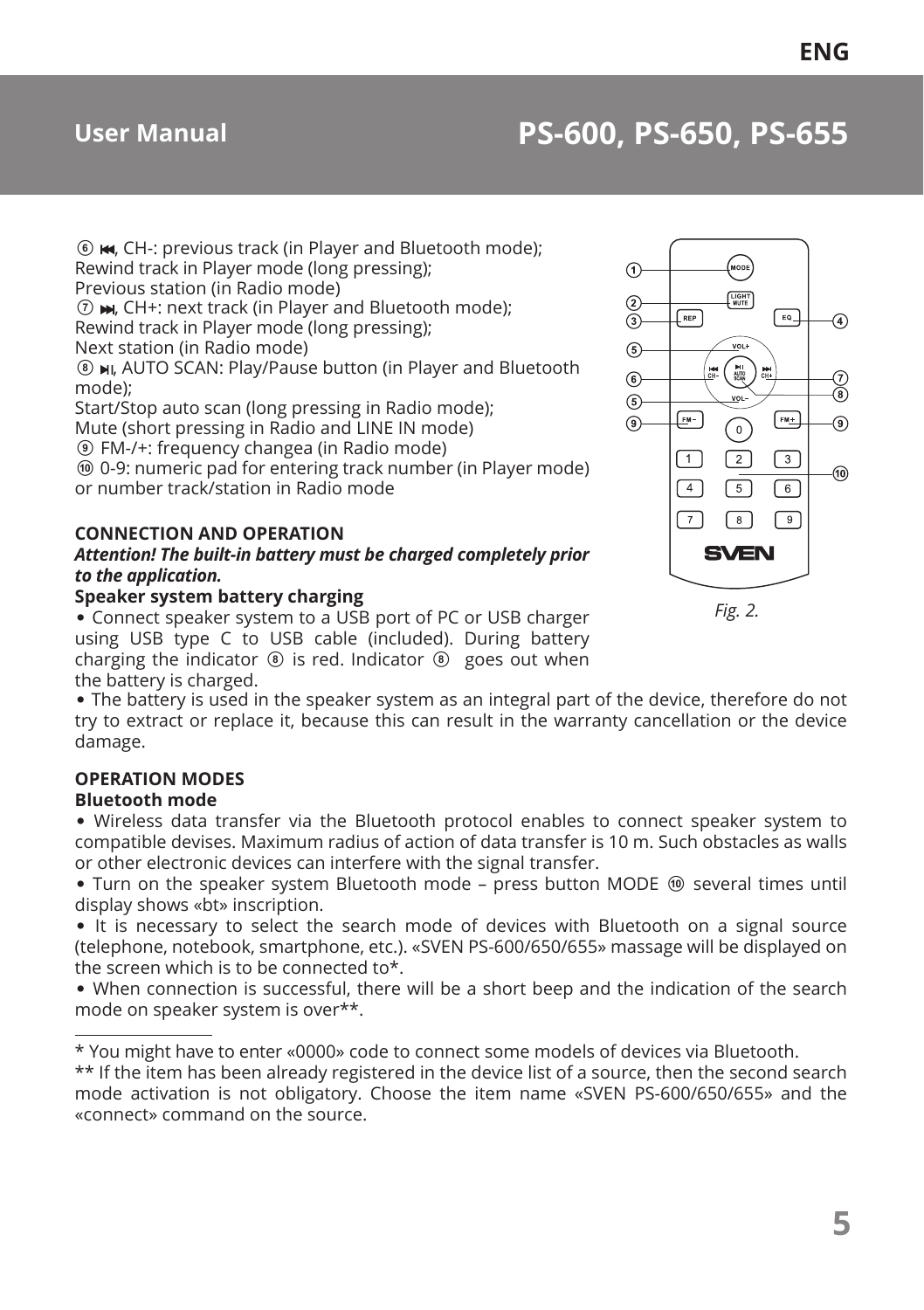## **User Manual PS-600, PS-650, PS-655**

 $6$   $\blacktriangleright$   $\blacktriangleleft$  CH-: previous track (in Player and Bluetooth mode); Rewind track in Player mode (long pressing); Previous station (in Radio mode)

 $(7)$   $\blacktriangleright$ , CH+: next track (in Player and Bluetooth mode); Rewind track in Player mode (long pressing);

Next station (in Radio mode)

 $\circledR$  **MI, AUTO SCAN: Play/Pause button (in Player and Bluetooth** mode);

Start/Stop auto scan (long pressing in Radio mode); Mute (short pressing in Radio and LINE IN mode)

i FM-/+: frequency changeа (in Radio mode)

**<sup>1</sup>** 0-9: numeric pad for entering track number (in Player mode) or number track/station in Radio mode

#### **CONNECTION AND OPERATION**

#### *Attention! The built-in battery must be charged completely prior to the application.*

#### **Speaker system battery charging**

**•** Connect speaker system to a USB port of PC or USB charger using USB type C to USB cable (included). During battery charging the indicator  $\circled{a}$  is red. Indicator  $\circled{b}$  goes out when the battery is charged.

**•** The battery is used in the speaker system as an integral part of the device, therefore do not try to extract or replace it, because this can result in the warranty cancellation or the device damage.

#### **OPERATION MODES**

#### **Bluetooth mode**

**•** Wireless data transfer via the Bluetooth protocol enables to connect speaker system to compatible devises. Maximum radius of action of data transfer is 10 m. Such obstacles as walls or other electronic devices can interfere with the signal transfer.

• Turn on the speaker system Bluetooth mode – press button MODE  $\textcircled{b}$  several times until display shows «bt» inscription.

**•** It is necessary to select the search mode of devices with Bluetooth on a signal source (telephone, notebook, smartphone, etc.). «SVEN PS-600/650/655» massage will be displayed on the screen which is to be connected to\*.

**•** When connection is successful, there will be a short beep and the indication of the search mode on speaker system is over\*\*.

\* You might have to enter «0000» code to connect some models of devices via Bluetooth.

\*\* If the item has been already registered in the device list of a source, then the second search mode activation is not obligatory. Choose the item name «SVEN PS-600/650/655» and the «connect» command on the source.



*Fig. 2.*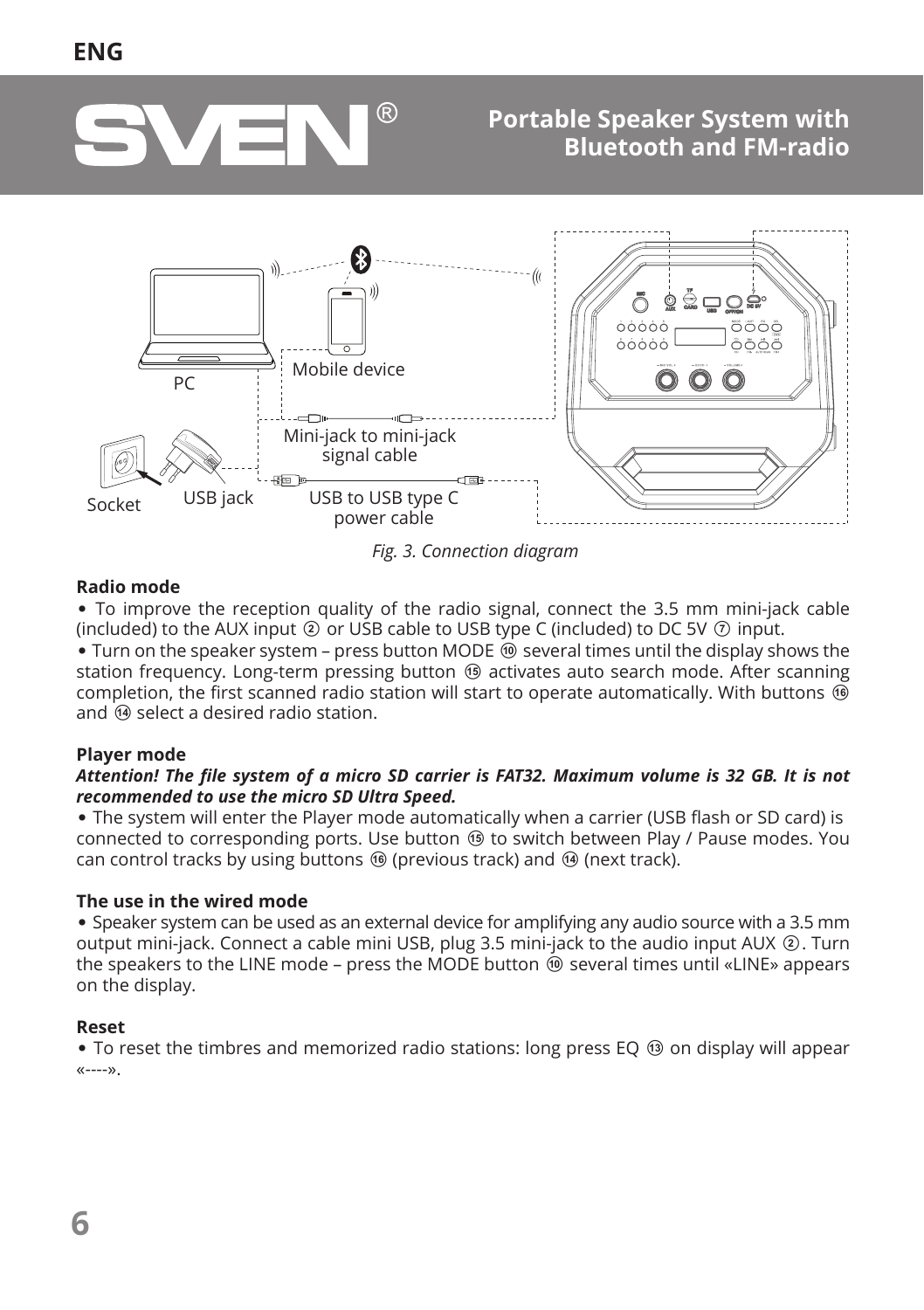

### **Portable Speaker System with Bluetooth and FM-radio**



*Fig. 3. Connection diagram*

#### **Radio mode**

**•** To improve the reception quality of the radio signal, connect the 3.5 mm mini-jack cable (included) to the AUX input  $\circledcirc$  or USB cable to USB type C (included) to DC 5V  $\circledcirc$  input.

• Turn on the speaker system – press button MODE  $\circledcirc$  several times until the display shows the station frequency. Long-term pressing button  $\circledast$  activates auto search mode. After scanning completion, the first scanned radio station will start to operate automatically. With buttons  $\circledR$ and  $\omega$  select a desired radio station.

#### **Player mode**

#### *Attention! The file system of a micro SD carrier is FAT32. Maximum volume is 32 GB. It is not recommended to use the micro SD Ultra Speed.*

**•** The system will enter the Player mode automatically when a carrier (USB flash or SD card) is connected to corresponding ports. Use button  $\circledast$  to switch between Play / Pause modes. You can control tracks by using buttons  $\circledast$  (previous track) and  $\circledast$  (next track).

#### **The use in the wired mode**

**•** Speaker system can be used as an external device for amplifying any audio source with a 3.5 mm output mini-jack. Connect a cable mini USB, plug 3.5 mini-jack to the audio input AUX 2. Turn the speakers to the LINE mode – press the MODE button  $\overset{\frown}{\Phi}$  several times until «LINE» appears on the display.

#### **Reset**

• To reset the timbres and memorized radio stations: long press EO **®** on display will appear «----».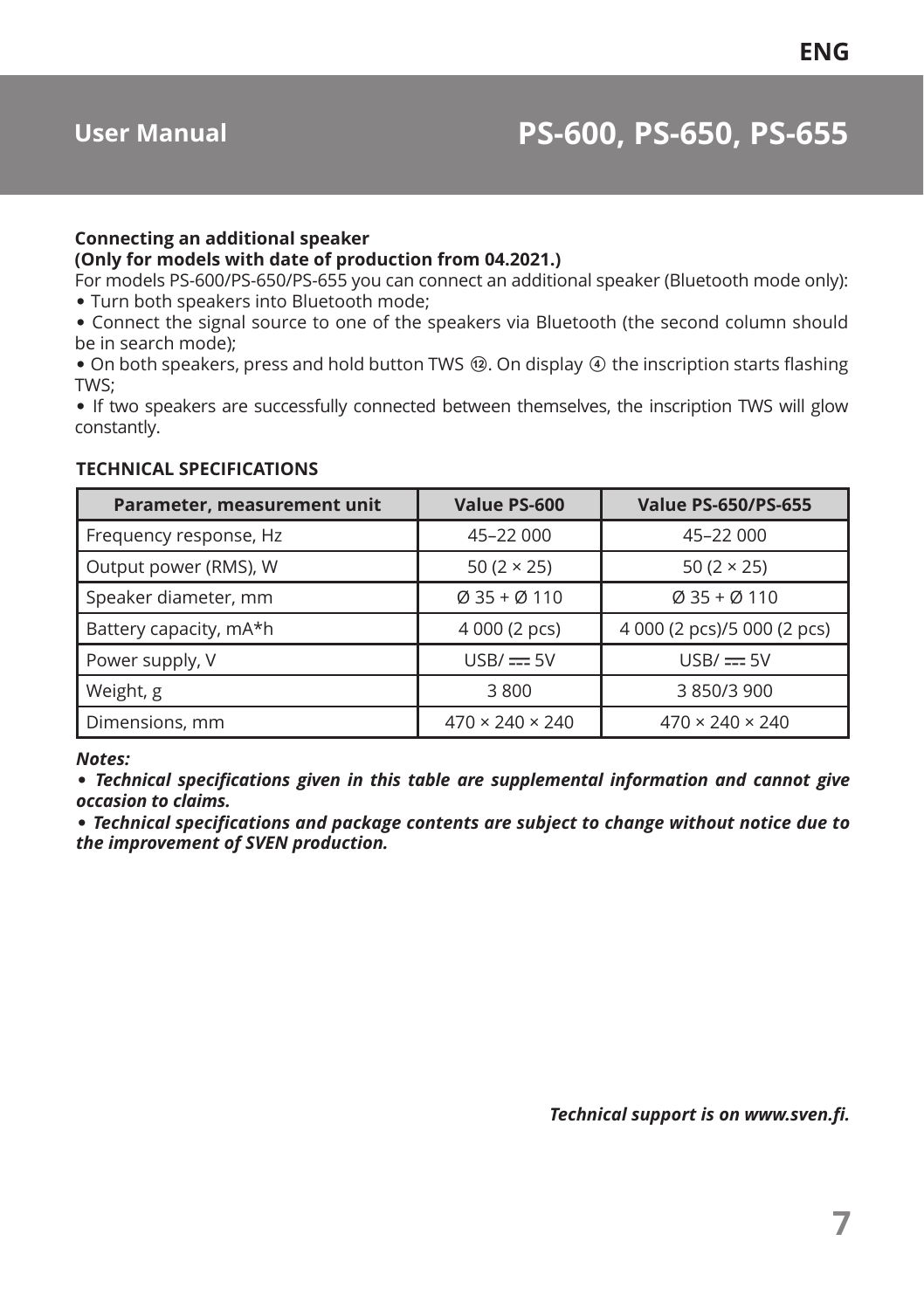## **User Manual PS-600, PS-650, PS-655**

#### **Connecting an additional speaker (Only for models with date of production from 04.2021.)**

For models PS-600/PS-650/PS-655 you can connect an additional speaker (Bluetooth mode only):

**•** Turn both speakers into Bluetooth mode;

**•** Connect the signal source to one of the speakers via Bluetooth (the second column should be in search mode);

• On both speakers, press and hold button TWS **@**. On display **@** the inscription starts flashing TWS;

**•** If two speakers are successfully connected between themselves, the inscription TWS will glow constantly.

#### **TECHNICAL SPECIFICATIONS**

| Parameter, measurement unit | Value PS-600                | <b>Value PS-650/PS-655</b>           |
|-----------------------------|-----------------------------|--------------------------------------|
| Frequency response, Hz      | 45-22 000                   | 45-22 000                            |
| Output power (RMS), W       | 50 $(2 \times 25)$          | 50 $(2 \times 25)$                   |
| Speaker diameter, mm        | $Q$ 35 + $Q$ 110            | $\varnothing$ 35 + $\varnothing$ 110 |
| Battery capacity, mA*h      | 4 000 (2 pcs)               | 4 000 (2 pcs)/5 000 (2 pcs)          |
| Power supply, V             | $USB/\equiv 5V$             | $USB/\equiv 5V$                      |
| Weight, g                   | 3800                        | 3 850/3 900                          |
| Dimensions, mm              | $470 \times 240 \times 240$ | $470 \times 240 \times 240$          |

#### *Notes:*

**•** *Technical specifications given in this table are supplemental information and cannot give occasion to claims.*

**•** *Technical specifications and package contents are subject to change without notice due to the improvement of SVEN production.*

*Technical support is on www.sven.fi.*